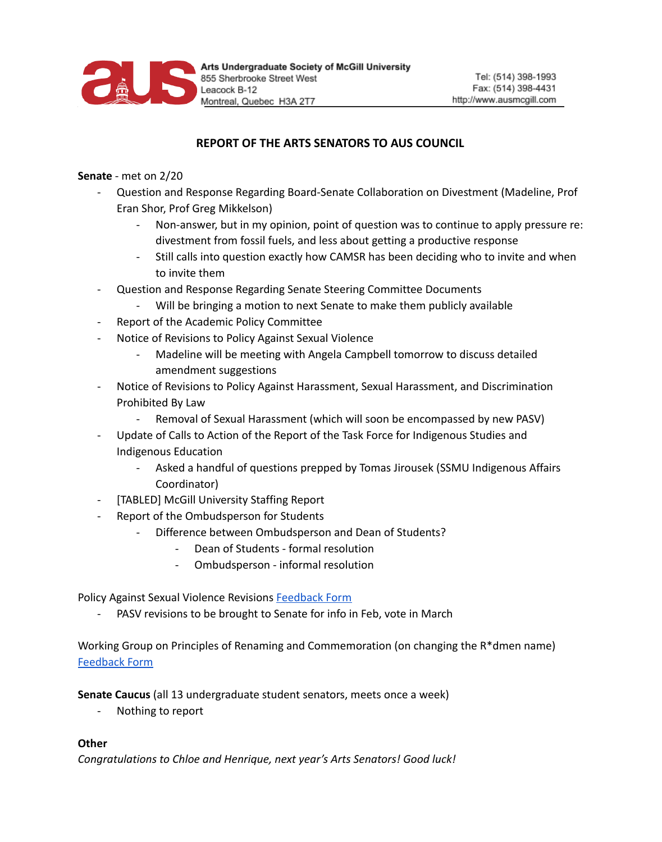

# **REPORT OF THE ARTS SENATORS TO AUS COUNCIL**

### **Senate** - met on 2/20

- Question and Response Regarding Board-Senate Collaboration on Divestment (Madeline, Prof Eran Shor, Prof Greg Mikkelson)
	- Non-answer, but in my opinion, point of question was to continue to apply pressure re: divestment from fossil fuels, and less about getting a productive response
	- Still calls into question exactly how CAMSR has been deciding who to invite and when to invite them
- Question and Response Regarding Senate Steering Committee Documents
	- Will be bringing a motion to next Senate to make them publicly available
- Report of the Academic Policy Committee
- Notice of Revisions to Policy Against Sexual Violence
	- Madeline will be meeting with Angela Campbell tomorrow to discuss detailed amendment suggestions
- Notice of Revisions to Policy Against Harassment, Sexual Harassment, and Discrimination Prohibited By Law
	- Removal of Sexual Harassment (which will soon be encompassed by new PASV)
- Update of Calls to Action of the Report of the Task Force for Indigenous Studies and Indigenous Education
	- Asked a handful of questions prepped by Tomas Jirousek (SSMU Indigenous Affairs Coordinator)
- [TABLED] McGill University Staffing Report
- Report of the Ombudsperson for Students
	- Difference between Ombudsperson and Dean of Students?
		- Dean of Students formal resolution
		- Ombudsperson informal resolution

Policy Against Sexual Violence Revisions Feedback Form

- PASV revisions to be brought to Senate for info in Feb, vote in March

Working Group on Principles of Renaming and Commemoration (on changing the R\*dmen name) Feedback Form

**Senate Caucus** (all 13 undergraduate student senators, meets once a week)

Nothing to report

## **Other**

*Congratulations to Chloe and Henrique, next year's Arts Senators! Good luck!*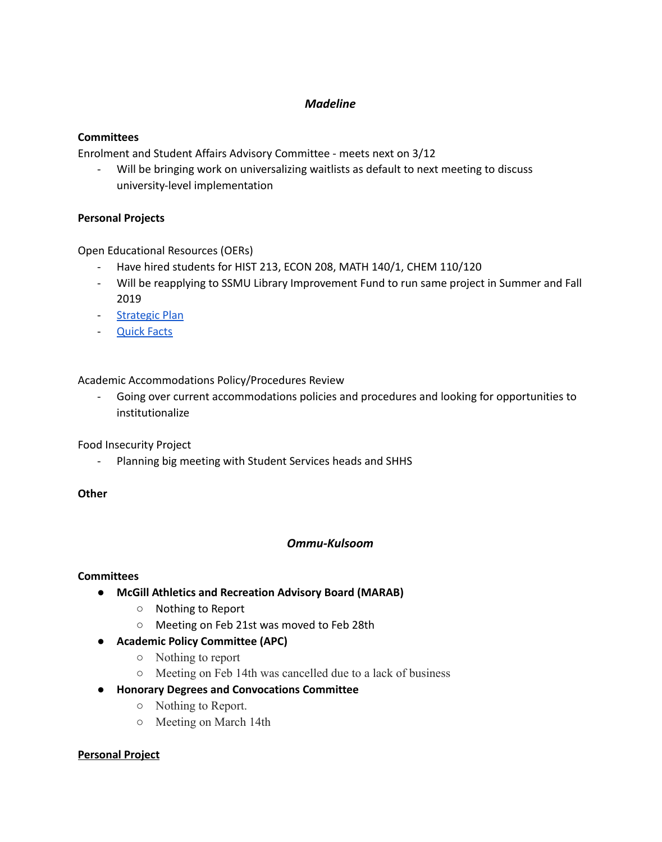# *Madeline*

## **Committees**

Enrolment and Student Affairs Advisory Committee - meets next on 3/12

Will be bringing work on universalizing waitlists as default to next meeting to discuss university-level implementation

## **Personal Projects**

Open Educational Resources (OERs)

- Have hired students for HIST 213, ECON 208, MATH 140/1, CHEM 110/120
- Will be reapplying to SSMU Library Improvement Fund to run same project in Summer and Fall 2019
- Strategic Plan
- Quick Facts

## Academic Accommodations Policy/Procedures Review

- Going over current accommodations policies and procedures and looking for opportunities to institutionalize

Food Insecurity Project

- Planning big meeting with Student Services heads and SHHS

#### **Other**

## *Ommu-Kulsoom*

#### **Committees**

- **● McGill Athletics and Recreation Advisory Board (MARAB)**
	- Nothing to Report
	- Meeting on Feb 21st was moved to Feb 28th
- **● Academic Policy Committee (APC)**
	- **○** Nothing to report
	- **○** Meeting on Feb 14th was cancelled due to a lack of business

## **● Honorary Degrees and Convocations Committee**

- **○** Nothing to Report.
- **○** Meeting on March 14th

#### **Personal Project**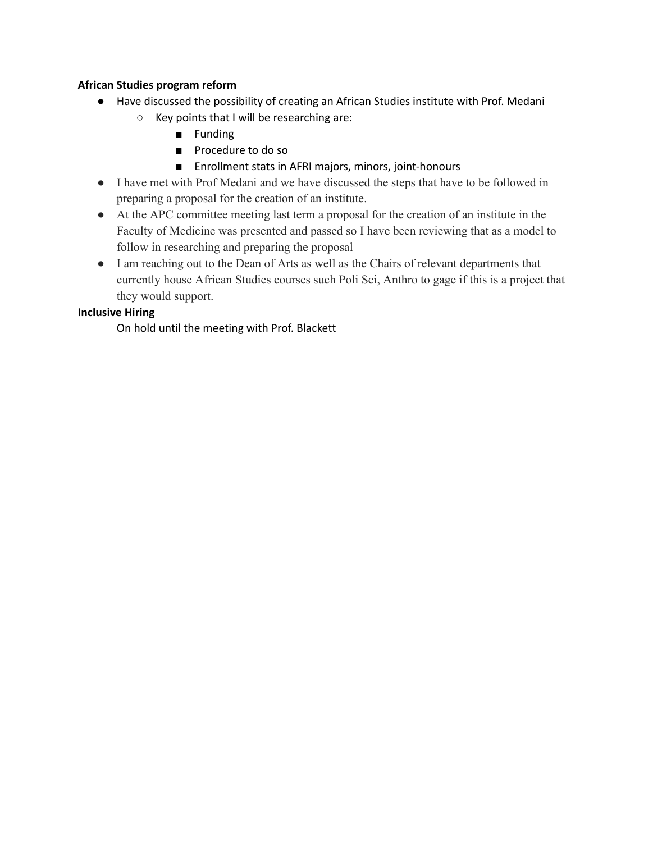# **African Studies program reform**

- Have discussed the possibility of creating an African Studies institute with Prof. Medani
	- Key points that I will be researching are:
		- Funding
		- Procedure to do so
		- Enrollment stats in AFRI majors, minors, joint-honours
- I have met with Prof Medani and we have discussed the steps that have to be followed in preparing a proposal for the creation of an institute.
- At the APC committee meeting last term a proposal for the creation of an institute in the Faculty of Medicine was presented and passed so I have been reviewing that as a model to follow in researching and preparing the proposal
- I am reaching out to the Dean of Arts as well as the Chairs of relevant departments that currently house African Studies courses such Poli Sci, Anthro to gage if this is a project that they would support.

## **Inclusive Hiring**

On hold until the meeting with Prof. Blackett